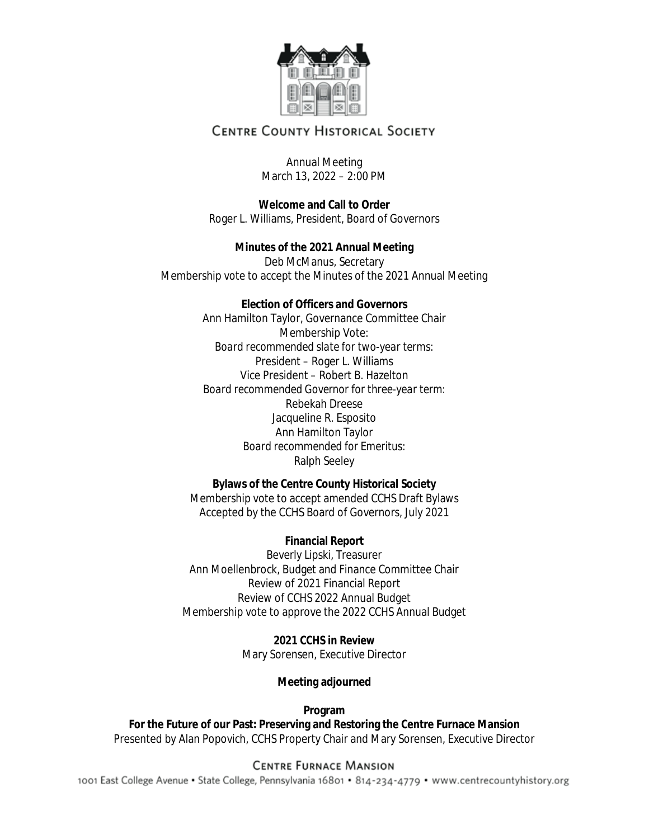

# **CENTRE COUNTY HISTORICAL SOCIETY**

# Annual Meeting March 13, 2022 – 2:00 PM

**Welcome and Call to Order** Roger L. Williams, President, Board of Governors

**Minutes of the 2021 Annual Meeting** Deb McManus, Secretary Membership vote to accept the Minutes of the 2021 Annual Meeting

# **Election of Officers and Governors**

Ann Hamilton Taylor, Governance Committee Chair Membership Vote: *Board recommended slate for two-year terms:*  President – Roger L. Williams Vice President – Robert B. Hazelton *Board recommended Governor for three-year term:* Rebekah Dreese Jacqueline R. Esposito Ann Hamilton Taylor *Board recommended for Emeritus:* Ralph Seeley

**Bylaws of the Centre County Historical Society**

Membership vote to accept amended CCHS Draft Bylaws Accepted by the CCHS Board of Governors, July 2021

# **Financial Report**

Beverly Lipski, Treasurer Ann Moellenbrock, Budget and Finance Committee Chair Review of 2021 Financial Report Review of CCHS 2022 Annual Budget Membership vote to approve the 2022 CCHS Annual Budget

> **2021 CCHS in Review** Mary Sorensen, Executive Director

> > **Meeting adjourned**

**Program**

**For the Future of our Past: Preserving and Restoring the Centre Furnace Mansion**  Presented by Alan Popovich, CCHS Property Chair and Mary Sorensen, Executive Director

# **CENTRE FURNACE MANSION**

1001 East College Avenue · State College, Pennsylvania 16801 · 814-234-4779 · www.centrecountyhistory.org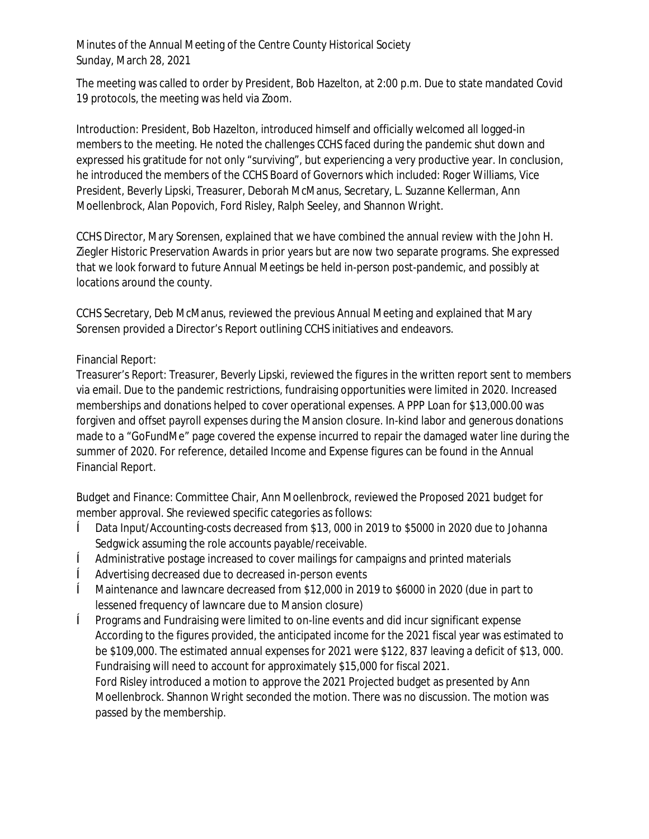The meeting was called to order by President, Bob Hazelton, at 2:00 p.m. Due to state mandated Covid 19 protocols, the meeting was held via Zoom.

Introduction: President, Bob Hazelton, introduced himself and officially welcomed all logged-in members to the meeting. He noted the challenges CCHS faced during the pandemic shut down and expressed his gratitude for not only "surviving", but experiencing a very productive year. In conclusion, he introduced the members of the CCHS Board of Governors which included: Roger Williams, Vice President, Beverly Lipski, Treasurer, Deborah McManus, Secretary, L. Suzanne Kellerman, Ann Moellenbrock, Alan Popovich, Ford Risley, Ralph Seeley, and Shannon Wright.

CCHS Director, Mary Sorensen, explained that we have combined the annual review with the John H. Ziegler Historic Preservation Awards in prior years but are now two separate programs. She expressed that we look forward to future Annual Meetings be held in-person post-pandemic, and possibly at locations around the county.

CCHS Secretary, Deb McManus, reviewed the previous Annual Meeting and explained that Mary Sorensen provided a Director's Report outlining CCHS initiatives and endeavors.

# Financial Report:

*Treasurer's Report*: Treasurer, Beverly Lipski, reviewed the figures in the written report sent to members via email. Due to the pandemic restrictions, fundraising opportunities were limited in 2020. Increased memberships and donations helped to cover operational expenses. A PPP Loan for \$13,000.00 was forgiven and offset payroll expenses during the Mansion closure. In-kind labor and generous donations made to a "GoFundMe" page covered the expense incurred to repair the damaged water line during the summer of 2020. For reference, detailed Income and Expense figures can be found in the Annual Financial Report.

Budget and Finance: Committee Chair, Ann Moellenbrock, reviewed the Proposed 2021 budget for member approval. She reviewed specific categories as follows:

- ê Data Input/Accounting-costs decreased from \$13, 000 in 2019 to \$5000 in 2020 due to Johanna Sedgwick assuming the role accounts payable/receivable.
- ê Administrative postage increased to cover mailings for campaigns and printed materials
- ê Advertising decreased due to decreased in-person events
- ê Maintenance and lawncare decreased from \$12,000 in 2019 to \$6000 in 2020 (due in part to lessened frequency of lawncare due to Mansion closure)
- ê Programs and Fundraising were limited to on-line events and did incur significant expense According to the figures provided, the anticipated income for the 2021 fiscal year was estimated to be \$109,000. The estimated annual expenses for 2021 were \$122, 837 leaving a deficit of \$13, 000. Fundraising will need to account for approximately \$15,000 for fiscal 2021. Ford Risley introduced a motion to approve the 2021 Projected budget as presented by Ann Moellenbrock. Shannon Wright seconded the motion. There was no discussion. The motion was passed by the membership.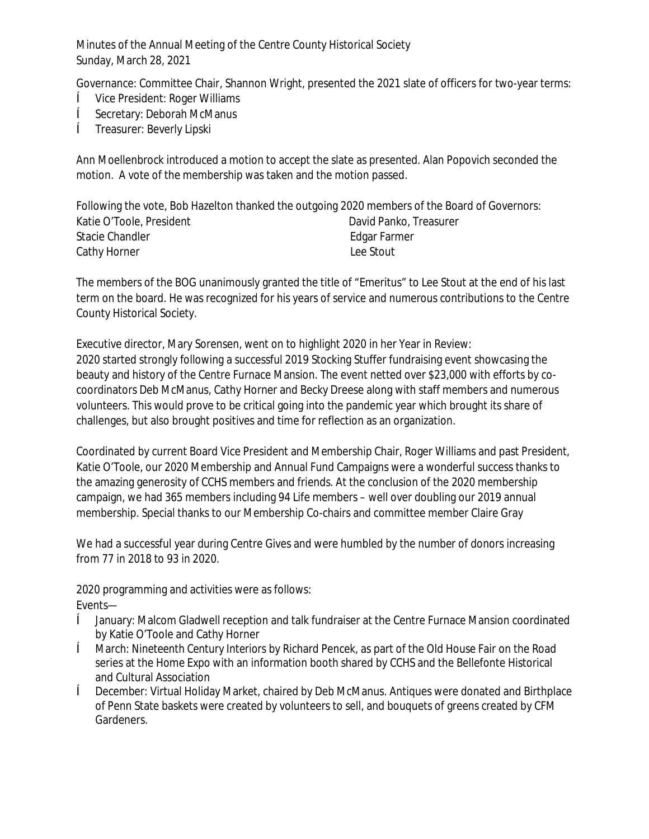Governance: Committee Chair, Shannon Wright, presented the 2021 slate of officers for two-year terms:

- ê Vice President: Roger Williams
- ê Secretary: Deborah McManus
- ê Treasurer: Beverly Lipski

Ann Moellenbrock introduced a motion to accept the slate as presented. Alan Popovich seconded the motion. A vote of the membership was taken and the motion passed.

|                          | Following the vote, Bob Hazelton thanked the outgoing 2020 members of the Board of Governors: |
|--------------------------|-----------------------------------------------------------------------------------------------|
| Katie O'Toole, President | David Panko, Treasurer                                                                        |
| Stacie Chandler          | Edgar Farmer                                                                                  |
| Cathy Horner             | Lee Stout                                                                                     |

The members of the BOG unanimously granted the title of "Emeritus" to Lee Stout at the end of his last term on the board. He was recognized for his years of service and numerous contributions to the Centre County Historical Society.

Executive director, Mary Sorensen, went on to highlight 2020 in her Year in Review: 2020 started strongly following a successful 2019 Stocking Stuffer fundraising event showcasing the beauty and history of the Centre Furnace Mansion. The event netted over \$23,000 with efforts by cocoordinators Deb McManus, Cathy Horner and Becky Dreese along with staff members and numerous volunteers. This would prove to be critical going into the pandemic year which brought its share of challenges, but also brought positives and time for reflection as an organization.

Coordinated by current Board Vice President and Membership Chair, Roger Williams and past President, Katie O'Toole, our 2020 Membership and Annual Fund Campaigns were a wonderful success thanks to the amazing generosity of CCHS members and friends. At the conclusion of the 2020 membership campaign, we had 365 members including 94 Life members – well over doubling our 2019 annual membership. Special thanks to our Membership Co-chairs and committee member Claire Gray

We had a successful year during Centre Gives and were humbled by the number of donors increasing from 77 in 2018 to 93 in 2020.

2020 programming and activities were as follows: Events—

- ê January: Malcom Gladwell reception and talk fundraiser at the Centre Furnace Mansion coordinated by Katie O'Toole and Cathy Horner
- ê March: *Nineteenth Century Interiors* by Richard Pencek, as part of the Old House Fair on the Road series at the Home Expo with an information booth shared by CCHS and the Bellefonte Historical and Cultural Association
- ê December: Virtual Holiday Market, chaired by Deb McManus. Antiques were donated and Birthplace of Penn State baskets were created by volunteers to sell, and bouquets of greens created by CFM Gardeners.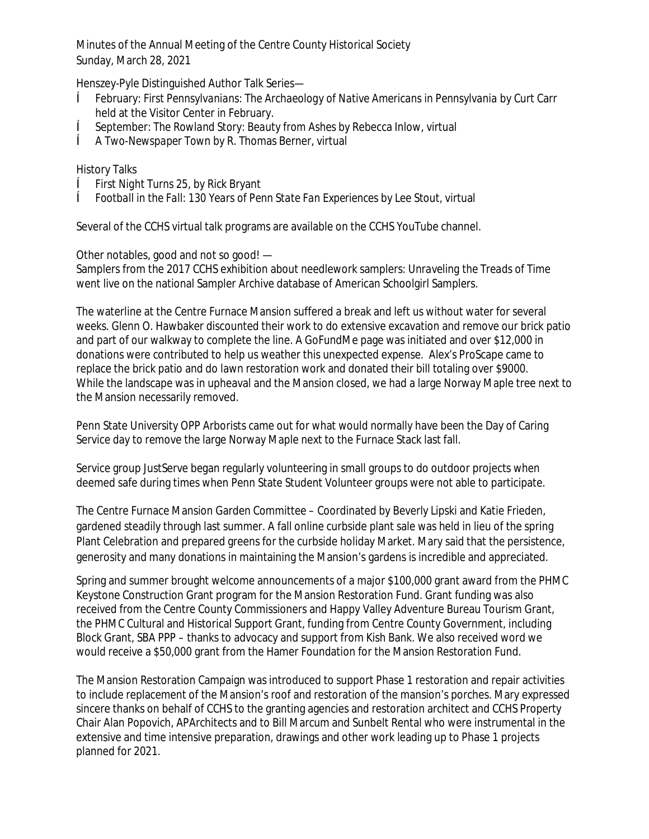Henszey-Pyle Distinguished Author Talk Series—

- ê February: *First Pennsylvanians: The Archaeology of Native Americans in Pennsylvania* by Curt Carr held at the Visitor Center in February.
- ê September: *The Rowland Story: Beauty from Ashes* by Rebecca Inlow, virtual
- ê *A Two-Newspaper Town* by R. Thomas Berner, virtual

# History Talks

- ê *First Night Turns 25*, by Rick Bryant
- ê *Football in the Fall: 130 Years of Penn State Fan Experiences* by Lee Stout, virtual

Several of the CCHS virtual talk programs are available on the CCHS YouTube channel.

Other notables, good and not so good! —

Samplers from the 2017 CCHS exhibition about needlework samplers: *Unraveling the Treads of Time* went live on the national Sampler Archive database of American Schoolgirl Samplers.

The waterline at the Centre Furnace Mansion suffered a break and left us without water for several weeks. Glenn O. Hawbaker discounted their work to do extensive excavation and remove our brick patio and part of our walkway to complete the line. A GoFundMe page was initiated and over \$12,000 in donations were contributed to help us weather this unexpected expense. Alex's ProScape came to replace the brick patio and do lawn restoration work and donated their bill totaling over \$9000. While the landscape was in upheaval and the Mansion closed, we had a large Norway Maple tree next to the Mansion necessarily removed.

Penn State University OPP Arborists came out for what would normally have been the Day of Caring Service day to remove the large Norway Maple next to the Furnace Stack last fall.

Service group JustServe began regularly volunteering in small groups to do outdoor projects when deemed safe during times when Penn State Student Volunteer groups were not able to participate.

The Centre Furnace Mansion Garden Committee – Coordinated by Beverly Lipski and Katie Frieden, gardened steadily through last summer. A fall online curbside plant sale was held in lieu of the spring Plant Celebration and prepared greens for the curbside holiday Market. Mary said that the persistence, generosity and many donations in maintaining the Mansion's gardens is incredible and appreciated.

Spring and summer brought welcome announcements of a major \$100,000 grant award from the PHMC Keystone Construction Grant program for the Mansion Restoration Fund. Grant funding was also received from the Centre County Commissioners and Happy Valley Adventure Bureau Tourism Grant, the PHMC Cultural and Historical Support Grant, funding from Centre County Government, including Block Grant, SBA PPP – thanks to advocacy and support from Kish Bank. We also received word we would receive a \$50,000 grant from the Hamer Foundation for the Mansion Restoration Fund.

The Mansion Restoration Campaign was introduced to support Phase 1 restoration and repair activities to include replacement of the Mansion's roof and restoration of the mansion's porches. Mary expressed sincere thanks on behalf of CCHS to the granting agencies and restoration architect and CCHS Property Chair Alan Popovich, APArchitects and to Bill Marcum and Sunbelt Rental who were instrumental in the extensive and time intensive preparation, drawings and other work leading up to Phase 1 projects planned for 2021.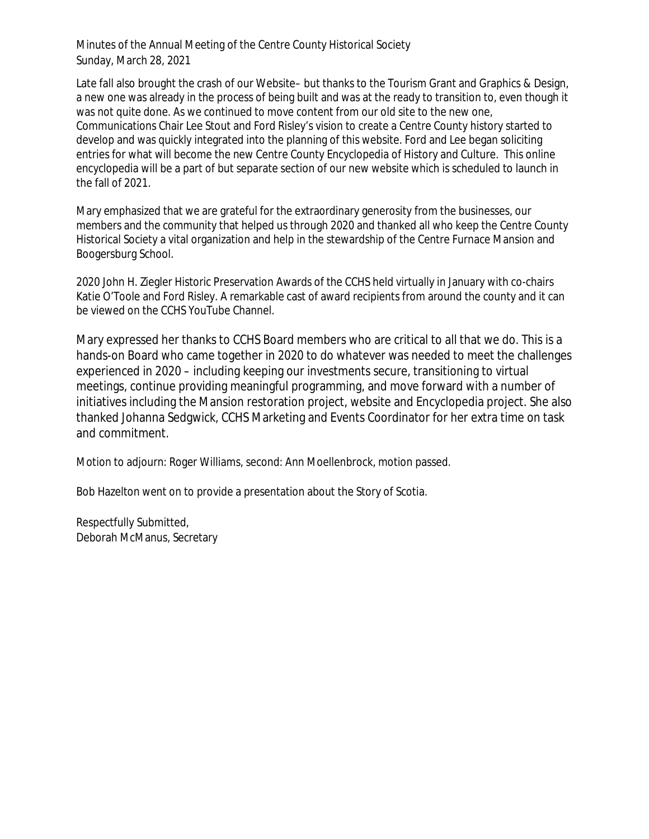Late fall also brought the crash of our Website– but thanks to the Tourism Grant and Graphics & Design, a new one was already in the process of being built and was at the ready to transition to, even though it was not quite done. As we continued to move content from our old site to the new one, Communications Chair Lee Stout and Ford Risley's vision to create a Centre County history started to develop and was quickly integrated into the planning of this website. Ford and Lee began soliciting entries for what will become the new Centre County Encyclopedia of History and Culture. This online encyclopedia will be a part of but separate section of our new website which is scheduled to launch in the fall of 2021.

Mary emphasized that we are grateful for the extraordinary generosity from the businesses, our members and the community that helped us through 2020 and thanked all who keep the Centre County Historical Society a vital organization and help in the stewardship of the Centre Furnace Mansion and Boogersburg School.

2020 John H. Ziegler Historic Preservation Awards of the CCHS held virtually in January with co-chairs Katie O'Toole and Ford Risley. A remarkable cast of award recipients from around the county and it can be viewed on the CCHS YouTube Channel.

Mary expressed her thanks to CCHS Board members who are critical to all that we do. This is a hands-on Board who came together in 2020 to do whatever was needed to meet the challenges experienced in 2020 – including keeping our investments secure, transitioning to virtual meetings, continue providing meaningful programming, and move forward with a number of initiatives including the Mansion restoration project, website and Encyclopedia project. She also thanked Johanna Sedgwick, CCHS Marketing and Events Coordinator for her extra time on task and commitment.

Motion to adjourn: Roger Williams, second: Ann Moellenbrock, motion passed.

Bob Hazelton went on to provide a presentation about the Story of Scotia.

Respectfully Submitted, Deborah McManus, Secretary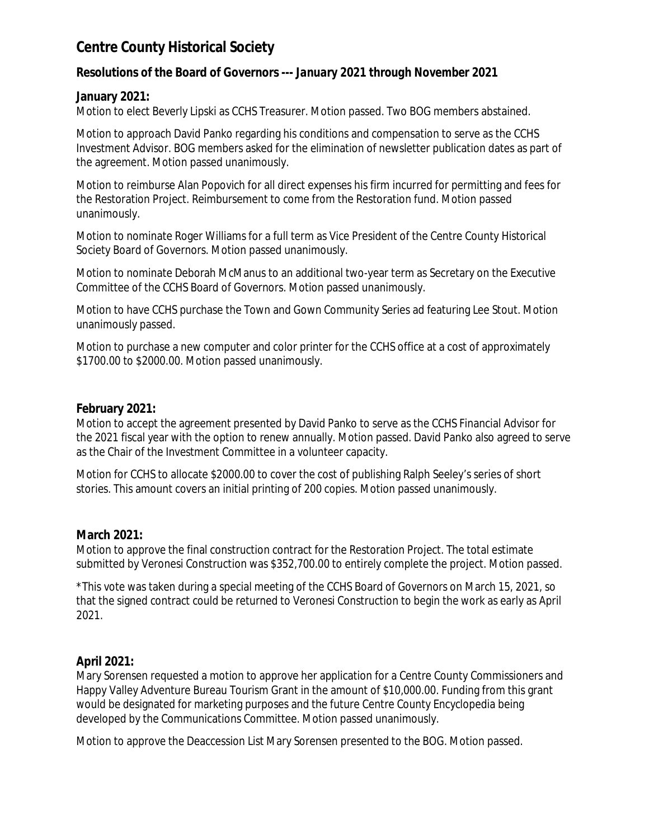# **Centre County Historical Society**

# **Resolutions of the Board of Governors ---** *January 2021 through November 2021*

## **January 2021:**

Motion to elect Beverly Lipski as CCHS Treasurer. Motion passed. Two BOG members abstained.

Motion to approach David Panko regarding his conditions and compensation to serve as the CCHS Investment Advisor. BOG members asked for the elimination of newsletter publication dates as part of the agreement. Motion passed unanimously.

Motion to reimburse Alan Popovich for all direct expenses his firm incurred for permitting and fees for the Restoration Project. Reimbursement to come from the Restoration fund. Motion passed unanimously.

Motion to nominate Roger Williams for a full term as Vice President of the Centre County Historical Society Board of Governors. Motion passed unanimously.

Motion to nominate Deborah McManus to an additional two-year term as Secretary on the Executive Committee of the CCHS Board of Governors. Motion passed unanimously.

Motion to have CCHS purchase the Town and Gown Community Series ad featuring Lee Stout. Motion unanimously passed.

Motion to purchase a new computer and color printer for the CCHS office at a cost of approximately \$1700.00 to \$2000.00. Motion passed unanimously.

# **February 2021:**

Motion to accept the agreement presented by David Panko to serve as the CCHS Financial Advisor for the 2021 fiscal year with the option to renew annually. Motion passed. David Panko also agreed to serve as the Chair of the Investment Committee in a volunteer capacity.

Motion for CCHS to allocate \$2000.00 to cover the cost of publishing Ralph Seeley's series of short stories. This amount covers an initial printing of 200 copies. Motion passed unanimously.

# **March 2021:**

Motion to approve the final construction contract for the Restoration Project. The total estimate submitted by Veronesi Construction was \$352,700.00 to entirely complete the project. Motion passed.

\*This vote was taken during a special meeting of the CCHS Board of Governors on March 15, 2021, so that the signed contract could be returned to Veronesi Construction to begin the work as early as April 2021.

# **April 2021:**

Mary Sorensen requested a motion to approve her application for a Centre County Commissioners and Happy Valley Adventure Bureau Tourism Grant in the amount of \$10,000.00. Funding from this grant would be designated for marketing purposes and the future Centre County Encyclopedia being developed by the Communications Committee. Motion passed unanimously.

Motion to approve the Deaccession List Mary Sorensen presented to the BOG. Motion passed.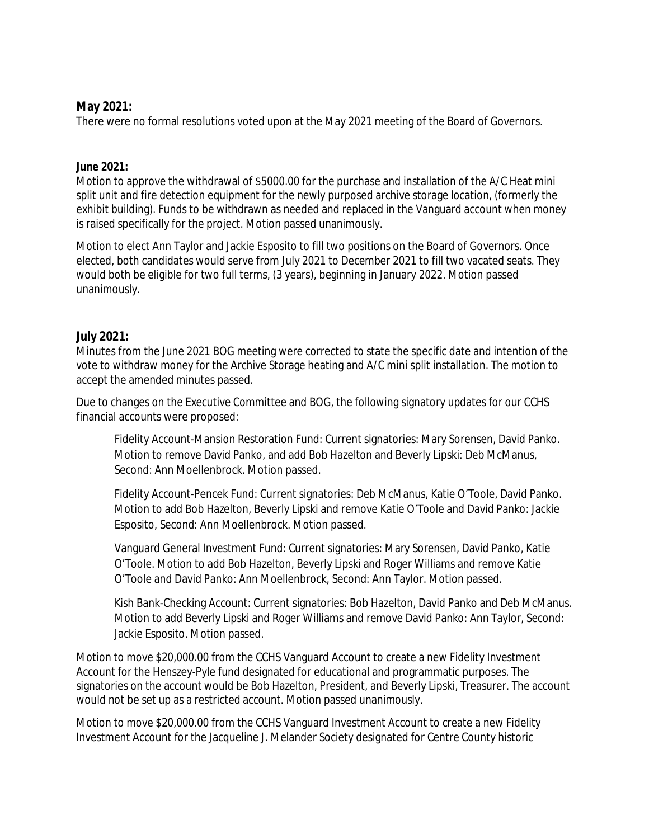# **May 2021:**

There were no formal resolutions voted upon at the May 2021 meeting of the Board of Governors.

### **June 2021:**

Motion to approve the withdrawal of \$5000.00 for the purchase and installation of the A/C Heat mini split unit and fire detection equipment for the newly purposed archive storage location, (formerly the exhibit building). Funds to be withdrawn as needed and replaced in the Vanguard account when money is raised specifically for the project. Motion passed unanimously.

Motion to elect Ann Taylor and Jackie Esposito to fill two positions on the Board of Governors. Once elected, both candidates would serve from July 2021 to December 2021 to fill two vacated seats. They would both be eligible for two full terms, (3 years), beginning in January 2022. Motion passed unanimously.

### **July 2021:**

Minutes from the June 2021 BOG meeting were corrected to state the specific date and intention of the vote to withdraw money for the Archive Storage heating and A/C mini split installation. The motion to accept the amended minutes passed.

Due to changes on the Executive Committee and BOG, the following signatory updates for our CCHS financial accounts were proposed:

Fidelity Account-Mansion Restoration Fund: Current signatories: Mary Sorensen, David Panko. Motion to remove David Panko, and add Bob Hazelton and Beverly Lipski: Deb McManus, Second: Ann Moellenbrock. Motion passed.

Fidelity Account-Pencek Fund: Current signatories: Deb McManus, Katie O'Toole, David Panko. Motion to add Bob Hazelton, Beverly Lipski and remove Katie O'Toole and David Panko: Jackie Esposito, Second: Ann Moellenbrock. Motion passed.

Vanguard General Investment Fund: Current signatories: Mary Sorensen, David Panko, Katie O'Toole. Motion to add Bob Hazelton, Beverly Lipski and Roger Williams and remove Katie O'Toole and David Panko: Ann Moellenbrock, Second: Ann Taylor. Motion passed.

Kish Bank-Checking Account: Current signatories: Bob Hazelton, David Panko and Deb McManus. Motion to add Beverly Lipski and Roger Williams and remove David Panko: Ann Taylor, Second: Jackie Esposito. Motion passed.

Motion to move \$20,000.00 from the CCHS Vanguard Account to create a new Fidelity Investment Account for the Henszey-Pyle fund designated for educational and programmatic purposes. The signatories on the account would be Bob Hazelton, President, and Beverly Lipski, Treasurer. The account would not be set up as a restricted account. Motion passed unanimously.

Motion to move \$20,000.00 from the CCHS Vanguard Investment Account to create a new Fidelity Investment Account for the Jacqueline J. Melander Society designated for Centre County historic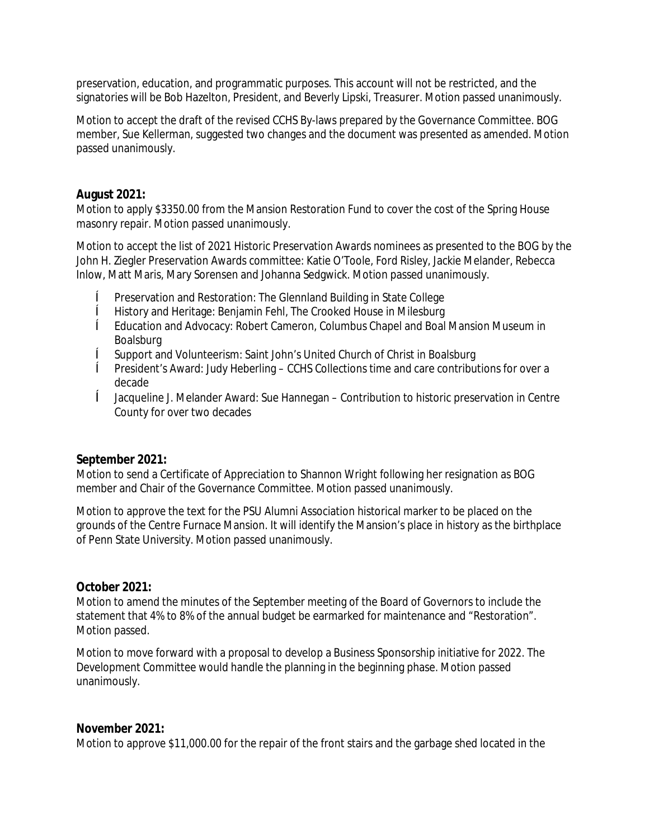preservation, education, and programmatic purposes. This account will not be restricted, and the signatories will be Bob Hazelton, President, and Beverly Lipski, Treasurer. Motion passed unanimously.

Motion to accept the draft of the revised CCHS By-laws prepared by the Governance Committee. BOG member, Sue Kellerman, suggested two changes and the document was presented as amended. Motion passed unanimously.

# **August 2021:**

Motion to apply \$3350.00 from the Mansion Restoration Fund to cover the cost of the Spring House masonry repair. Motion passed unanimously.

Motion to accept the list of 2021 Historic Preservation Awards nominees as presented to the BOG by the John H. Ziegler Preservation Awards committee: Katie O'Toole, Ford Risley, Jackie Melander, Rebecca Inlow, Matt Maris, Mary Sorensen and Johanna Sedgwick. Motion passed unanimously.

- ê Preservation and Restoration: The Glennland Building in State College
- ê History and Heritage: Benjamin Fehl, The Crooked House in Milesburg
- ê Education and Advocacy: Robert Cameron, Columbus Chapel and Boal Mansion Museum in Boalsburg
- ê Support and Volunteerism: Saint John's United Church of Christ in Boalsburg
- ê President's Award: Judy Heberling CCHS Collections time and care contributions for over a decade
- ê Jacqueline J. Melander Award: Sue Hannegan Contribution to historic preservation in Centre County for over two decades

### **September 2021:**

Motion to send a Certificate of Appreciation to Shannon Wright following her resignation as BOG member and Chair of the Governance Committee. Motion passed unanimously.

Motion to approve the text for the PSU Alumni Association historical marker to be placed on the grounds of the Centre Furnace Mansion. It will identify the Mansion's place in history as the birthplace of Penn State University. Motion passed unanimously.

### **October 2021:**

Motion to amend the minutes of the September meeting of the Board of Governors to include the statement that 4% to 8% of the annual budget be earmarked for maintenance and "Restoration". Motion passed.

Motion to move forward with a proposal to develop a Business Sponsorship initiative for 2022. The Development Committee would handle the planning in the beginning phase. Motion passed unanimously.

### **November 2021:**

Motion to approve \$11,000.00 for the repair of the front stairs and the garbage shed located in the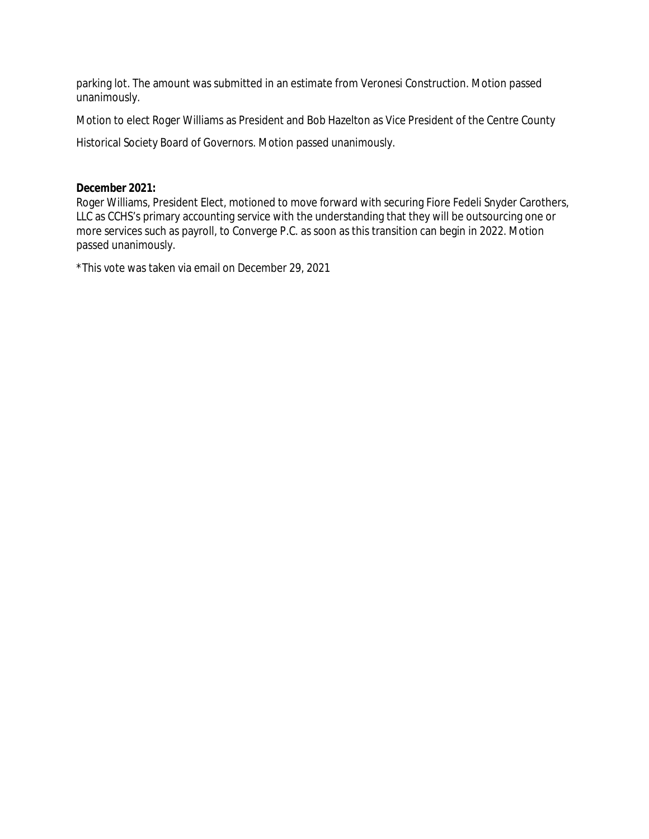parking lot. The amount was submitted in an estimate from Veronesi Construction. Motion passed unanimously.

Motion to elect Roger Williams as President and Bob Hazelton as Vice President of the Centre County

Historical Society Board of Governors. Motion passed unanimously.

## **December 2021:**

Roger Williams, President Elect, motioned to move forward with securing Fiore Fedeli Snyder Carothers, LLC as CCHS's primary accounting service with the understanding that they will be outsourcing one or more services such as payroll, to Converge P.C. as soon as this transition can begin in 2022. Motion passed unanimously.

\*This vote was taken via email on December 29, 2021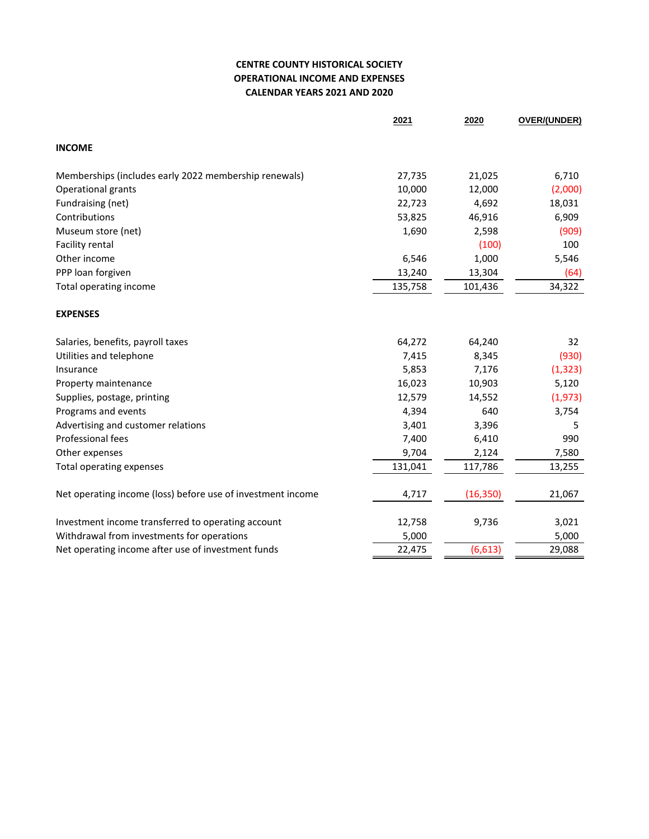### **CENTRE COUNTY HISTORICAL SOCIETY OPERATIONAL INCOME AND EXPENSES CALENDAR YEARS 2021 AND 2020**

|                                                             | 2021    | 2020      | OVER/(UNDER) |
|-------------------------------------------------------------|---------|-----------|--------------|
| <b>INCOME</b>                                               |         |           |              |
| Memberships (includes early 2022 membership renewals)       | 27,735  | 21,025    | 6,710        |
| Operational grants                                          | 10,000  | 12,000    | (2,000)      |
| Fundraising (net)                                           | 22,723  | 4,692     | 18,031       |
| Contributions                                               | 53,825  | 46,916    | 6,909        |
| Museum store (net)                                          | 1,690   | 2,598     | (909)        |
| Facility rental                                             |         | (100)     | 100          |
| Other income                                                | 6,546   | 1,000     | 5,546        |
| PPP loan forgiven                                           | 13,240  | 13,304    | (64)         |
| Total operating income                                      | 135,758 | 101,436   | 34,322       |
| <b>EXPENSES</b>                                             |         |           |              |
| Salaries, benefits, payroll taxes                           | 64,272  | 64,240    | 32           |
| Utilities and telephone                                     | 7,415   | 8,345     | (930)        |
| Insurance                                                   | 5,853   | 7,176     | (1, 323)     |
| Property maintenance                                        | 16,023  | 10,903    | 5,120        |
| Supplies, postage, printing                                 | 12,579  | 14,552    | (1, 973)     |
| Programs and events                                         | 4,394   | 640       | 3,754        |
| Advertising and customer relations                          | 3,401   | 3,396     | 5            |
| Professional fees                                           | 7,400   | 6,410     | 990          |
| Other expenses                                              | 9,704   | 2,124     | 7,580        |
| Total operating expenses                                    | 131,041 | 117,786   | 13,255       |
| Net operating income (loss) before use of investment income | 4,717   | (16, 350) | 21,067       |
| Investment income transferred to operating account          | 12,758  | 9,736     | 3,021        |
| Withdrawal from investments for operations                  | 5,000   |           | 5,000        |
| Net operating income after use of investment funds          | 22,475  | (6, 613)  | 29,088       |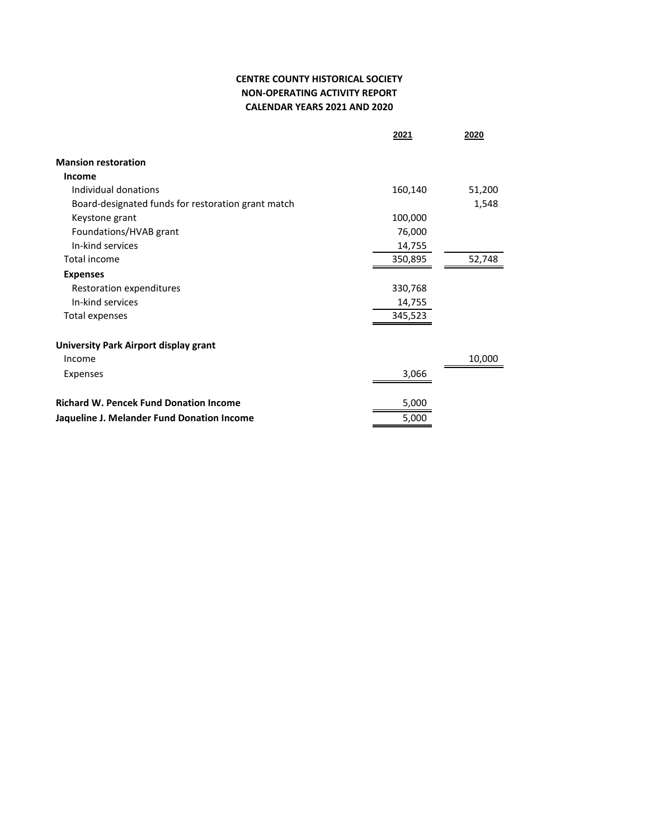### **CENTRE COUNTY HISTORICAL SOCIETY NON-OPERATING ACTIVITY REPORT CALENDAR YEARS 2021 AND 2020**

|                                                    | 2021    | 2020   |
|----------------------------------------------------|---------|--------|
| <b>Mansion restoration</b>                         |         |        |
| <b>Income</b>                                      |         |        |
| Individual donations                               | 160,140 | 51,200 |
| Board-designated funds for restoration grant match |         | 1,548  |
| Keystone grant                                     | 100,000 |        |
| Foundations/HVAB grant                             | 76,000  |        |
| In-kind services                                   | 14,755  |        |
| Total income                                       | 350,895 | 52,748 |
| <b>Expenses</b>                                    |         |        |
| Restoration expenditures                           | 330,768 |        |
| In-kind services                                   | 14,755  |        |
| Total expenses                                     | 345,523 |        |
| University Park Airport display grant              |         |        |
| Income                                             |         | 10,000 |
| Expenses                                           | 3,066   |        |
| <b>Richard W. Pencek Fund Donation Income</b>      | 5,000   |        |
| Jaqueline J. Melander Fund Donation Income         | 5,000   |        |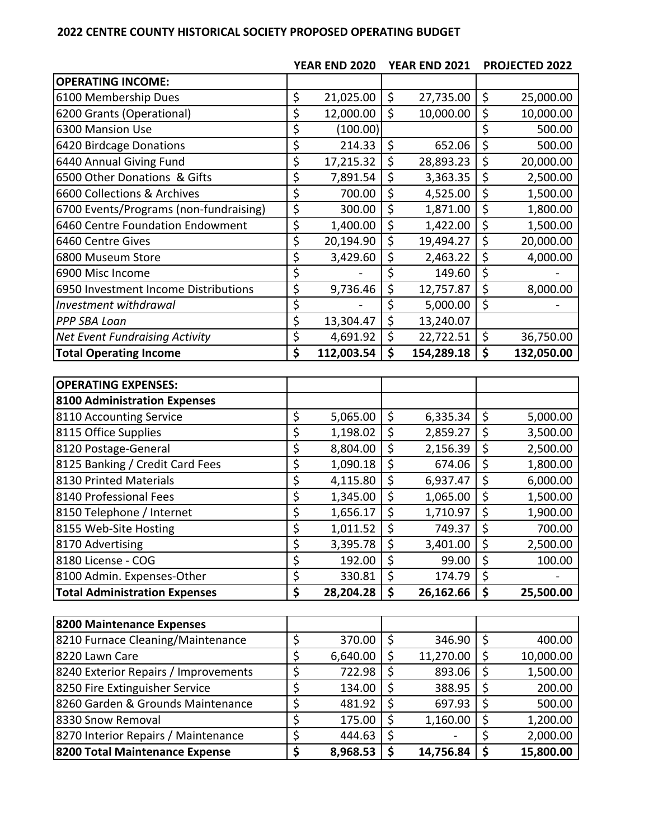## **CENTRE COUNTY HISTORICAL SOCIETY PROPOSED OPERATING BUDGET**

|                                        |                                 | YEAR END 2020 |                                 | YEAR END 2021 |                         | <b>PROJECTED 2022</b> |
|----------------------------------------|---------------------------------|---------------|---------------------------------|---------------|-------------------------|-----------------------|
| <b>OPERATING INCOME:</b>               |                                 |               |                                 |               |                         |                       |
| 6100 Membership Dues                   | \$                              | 21,025.00     | \$                              | 27,735.00     | \$                      | 25,000.00             |
| 6200 Grants (Operational)              | $\overline{\xi}$                | 12,000.00     | $\overline{\xi}$                | 10,000.00     | \$                      | 10,000.00             |
| 6300 Mansion Use                       | \$                              | (100.00)      |                                 |               | \$                      | 500.00                |
| 6420 Birdcage Donations                | \$                              | 214.33        | \$                              | 652.06        | \$                      | 500.00                |
| 6440 Annual Giving Fund                | \$                              | 17,215.32     | \$                              | 28,893.23     | \$                      | 20,000.00             |
| 6500 Other Donations & Gifts           | \$                              | 7,891.54      | \$                              | 3,363.35      | $\overline{\mathsf{S}}$ | 2,500.00              |
| 6600 Collections & Archives            | \$                              | 700.00        | \$                              | 4,525.00      | \$                      | 1,500.00              |
| 6700 Events/Programs (non-fundraising) | $\overline{\mathcal{L}}$        | 300.00        | $\overline{\xi}$                | 1,871.00      | $\overline{\xi}$        | 1,800.00              |
| 6460 Centre Foundation Endowment       | \$                              | 1,400.00      | $\overline{\boldsymbol{\zeta}}$ | 1,422.00      | \$                      | 1,500.00              |
| 6460 Centre Gives                      | $\overline{\xi}$                | 20,194.90     | $\overline{\xi}$                | 19,494.27     | \$                      | 20,000.00             |
| 6800 Museum Store                      | \$                              | 3,429.60      | \$                              | 2,463.22      | \$                      | 4,000.00              |
| 6900 Misc Income                       | \$                              |               | \$                              | 149.60        | $\overline{\mathsf{S}}$ |                       |
| 6950 Investment Income Distributions   | \$                              | 9,736.46      | $\overline{\xi}$                | 12,757.87     | \$                      | 8,000.00              |
| Investment withdrawal                  | \$                              |               | \$                              | 5,000.00      | $\overline{\varsigma}$  |                       |
| PPP SBA Loan                           | \$                              | 13,304.47     | $\overline{\varsigma}$          | 13,240.07     |                         |                       |
| <b>Net Event Fundraising Activity</b>  | $\overline{\mathcal{S}}$        | 4,691.92      | $\overline{\xi}$                | 22,722.51     | \$                      | 36,750.00             |
| <b>Total Operating Income</b>          | $\overline{\boldsymbol{\zeta}}$ | 112,003.54    | \$                              | 154,289.18    | \$                      | 132,050.00            |
|                                        |                                 |               |                                 |               |                         |                       |
| <b>OPERATING EXPENSES:</b>             |                                 |               |                                 |               |                         |                       |
| <b>8100 Administration Expenses</b>    |                                 |               |                                 |               |                         |                       |
| 8110 Accounting Service                | \$                              | 5,065.00      | \$                              | 6,335.34      | \$                      | 5,000.00              |
| 8115 Office Supplies                   | \$                              | 1,198.02      | $\overline{\boldsymbol{\zeta}}$ | 2,859.27      | \$                      | 3,500.00              |
| 8120 Postage-General                   | \$                              | 8,804.00      | $\overline{\xi}$                | 2,156.39      | \$                      | 2,500.00              |
| 8125 Banking / Credit Card Fees        | $\overline{\mathsf{S}}$         | 1,090.18      | $\overline{\xi}$                | 674.06        | \$                      | 1,800.00              |
| 8130 Printed Materials                 | \$                              | 4,115.80      | $\overline{\boldsymbol{\zeta}}$ | 6,937.47      | \$                      | 6,000.00              |
| 8140 Professional Fees                 | \$                              | 1,345.00      | \$                              | 1,065.00      | $\overline{\varsigma}$  | 1,500.00              |
| 8150 Telephone / Internet              | \$                              | 1,656.17      | $\overline{\boldsymbol{\zeta}}$ | 1,710.97      | \$                      | 1,900.00              |
| 8155 Web-Site Hosting                  | $\overline{\mathsf{S}}$         | 1,011.52      | $\overline{\mathsf{S}}$         | 749.37        | $\overline{\mathsf{s}}$ | 700.00                |
| 8170 Advertising                       | \$                              | 3,395.78      | \$                              | 3,401.00      | \$                      | 2,500.00              |
| 8180 License - COG                     | \$                              | 192.00        | \$                              | 99.00         | \$                      | 100.00                |
| 8100 Admin. Expenses-Other             | \$                              | 330.81        | \$                              | 174.79        | \$                      |                       |
| <b>Total Administration Expenses</b>   | \$                              | 28,204.28     | \$                              | 26,162.66     | \$                      | 25,500.00             |
|                                        |                                 |               |                                 |               |                         |                       |
| 8200 Maintenance Expenses              |                                 |               |                                 |               |                         |                       |
| 8210 Furnace Cleaning/Maintenance      | \$                              | 370.00        | \$                              | 346.90        | \$                      | 400.00                |
| 8220 Lawn Care                         | \$                              | 6,640.00      | $\overline{\xi}$                | 11,270.00     | \$                      | 10,000.00             |
| 8240 Exterior Repairs / Improvements   | \$                              | 722.98        | \$                              | 893.06        | \$                      | 1,500.00              |
| 8250 Fire Extinguisher Service         | \$                              | 134.00        | \$                              | 388.95        | \$                      | 200.00                |
| 8260 Garden & Grounds Maintenance      | \$                              | 481.92        | \$                              | 697.93        | \$                      | 500.00                |
| 8330 Snow Removal                      | \$                              | 175.00        | \$                              | 1,160.00      | \$                      | 1,200.00              |
| 8270 Interior Repairs / Maintenance    | \$                              | 444.63        | $\overline{\boldsymbol{\zeta}}$ |               | \$                      | 2,000.00              |
| 8200 Total Maintenance Expense         | \$                              | 8,968.53      | \$                              | 14,756.84     | \$                      | 15,800.00             |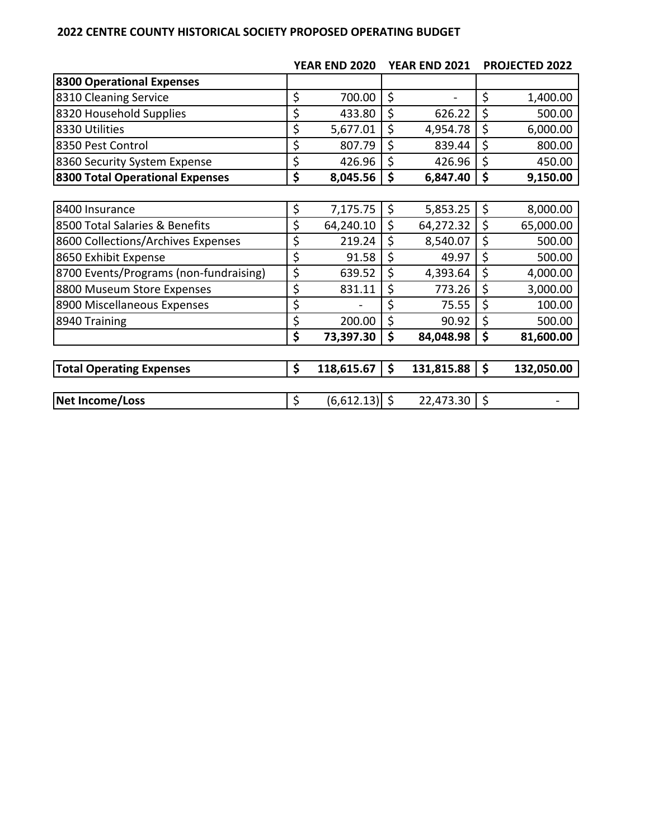## **CENTRE COUNTY HISTORICAL SOCIETY PROPOSED OPERATING BUDGET**

|                                        | <b>YEAR END 2020</b><br><b>YEAR END 2021</b> |    | <b>PROJECTED 2022</b>    |             |            |
|----------------------------------------|----------------------------------------------|----|--------------------------|-------------|------------|
| 8300 Operational Expenses              |                                              |    |                          |             |            |
| 8310 Cleaning Service                  | \$<br>700.00                                 | \$ | $\overline{\phantom{0}}$ | \$          | 1,400.00   |
| 8320 Household Supplies                | \$<br>433.80                                 | \$ | 626.22                   | \$          | 500.00     |
| 8330 Utilities                         | \$<br>5,677.01                               | \$ | 4,954.78                 | \$          | 6,000.00   |
| 8350 Pest Control                      | \$<br>807.79                                 | \$ | 839.44                   | \$          | 800.00     |
| 8360 Security System Expense           | \$<br>426.96                                 | \$ | 426.96                   | \$          | 450.00     |
| 8300 Total Operational Expenses        | \$<br>8,045.56                               | \$ | 6,847.40                 | \$          | 9,150.00   |
|                                        |                                              |    |                          |             |            |
| 8400 Insurance                         | \$<br>7,175.75                               | \$ | 5,853.25                 | $\varsigma$ | 8,000.00   |
| 8500 Total Salaries & Benefits         | \$<br>64,240.10                              | \$ | 64,272.32                | \$          | 65,000.00  |
| 8600 Collections/Archives Expenses     | \$<br>219.24                                 | \$ | 8,540.07                 | \$          | 500.00     |
| 8650 Exhibit Expense                   | \$<br>91.58                                  | \$ | 49.97                    | \$          | 500.00     |
| 8700 Events/Programs (non-fundraising) | \$<br>639.52                                 | \$ | 4,393.64                 | \$          | 4,000.00   |
| 8800 Museum Store Expenses             | \$<br>831.11                                 | \$ | 773.26                   | \$          | 3,000.00   |
| 8900 Miscellaneous Expenses            | \$                                           | \$ | 75.55                    | \$          | 100.00     |
| 8940 Training                          | \$<br>200.00                                 | \$ | 90.92                    | \$          | 500.00     |
|                                        | \$<br>73,397.30                              | \$ | 84,048.98                | \$          | 81,600.00  |
|                                        |                                              |    |                          |             |            |
| <b>Total Operating Expenses</b>        | \$<br>118,615.67                             | \$ | 131,815.88               | \$          | 132,050.00 |
|                                        |                                              |    |                          |             |            |
| <b>Net Income/Loss</b>                 | \$<br>$(6,612.13)$ \$                        |    | 22,473.30                | $\zeta$     |            |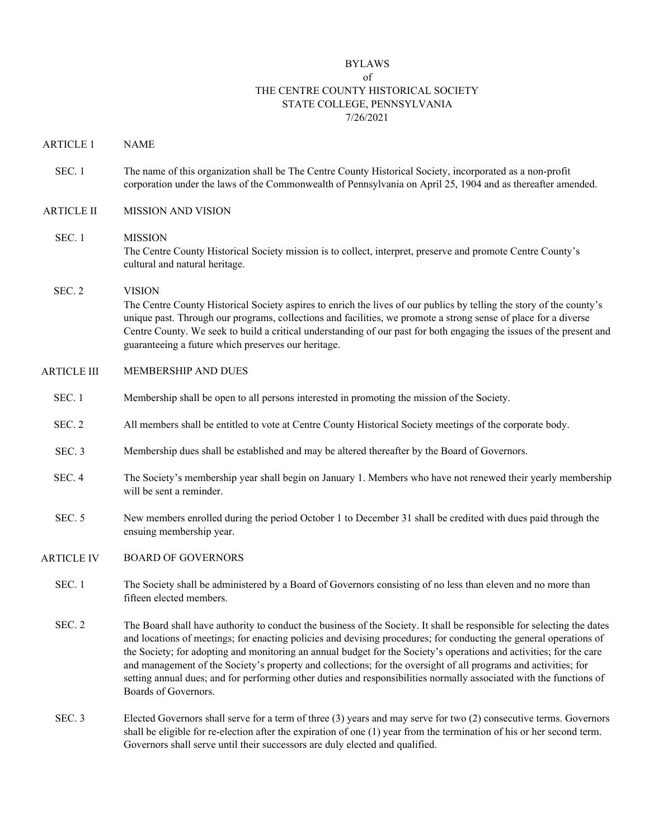#### BYLAWS

#### of THE CENTRE COUNTY HISTORICAL SOCIETY STATE COLLEGE, PENNSYLVANIA 7/26/2021

- ARTICLE 1 NAME
- SEC. 1 The name of this organization shall be The Centre County Historical Society, incorporated as a non-profit corporation under the laws of the Commonwealth of Pennsylvania on April 25, 1904 and as thereafter amended.
- ARTICLE II MISSION AND VISION
- SEC. 1 MISSION The Centre County Historical Society mission is to collect, interpret, preserve and promote Centre County's cultural and natural heritage.

### SEC. 2 VISION The Centre County Historical Society aspires to enrich the lives of our publics by telling the story of the county's unique past. Through our programs, collections and facilities, we promote a strong sense of place for a diverse Centre County. We seek to build a critical understanding of our past for both engaging the issues of the present and guaranteeing a future which preserves our heritage.

- ARTICLE III MEMBERSHIP AND DUES
	- SEC. 1 Membership shall be open to all persons interested in promoting the mission of the Society.
	- SEC. 2 All members shall be entitled to vote at Centre County Historical Society meetings of the corporate body.
	- SEC. 3 Membership dues shall be established and may be altered thereafter by the Board of Governors.
	- SEC. 4 The Society's membership year shall begin on January 1. Members who have not renewed their yearly membership will be sent a reminder.
	- SEC. 5 New members enrolled during the period October 1 to December 31 shall be credited with dues paid through the ensuing membership year.
- ARTICLE IV BOARD OF GOVERNORS
	- SEC. 1 The Society shall be administered by a Board of Governors consisting of no less than eleven and no more than fifteen elected members.
	- SEC. 2 The Board shall have authority to conduct the business of the Society. It shall be responsible for selecting the dates and locations of meetings; for enacting policies and devising procedures; for conducting the general operations of the Society; for adopting and monitoring an annual budget for the Society's operations and activities; for the care and management of the Society's property and collections; for the oversight of all programs and activities; for setting annual dues; and for performing other duties and responsibilities normally associated with the functions of Boards of Governors.
	- SEC. 3 Elected Governors shall serve for a term of three (3) years and may serve for two (2) consecutive terms. Governors shall be eligible for re-election after the expiration of one (1) year from the termination of his or her second term. Governors shall serve until their successors are duly elected and qualified.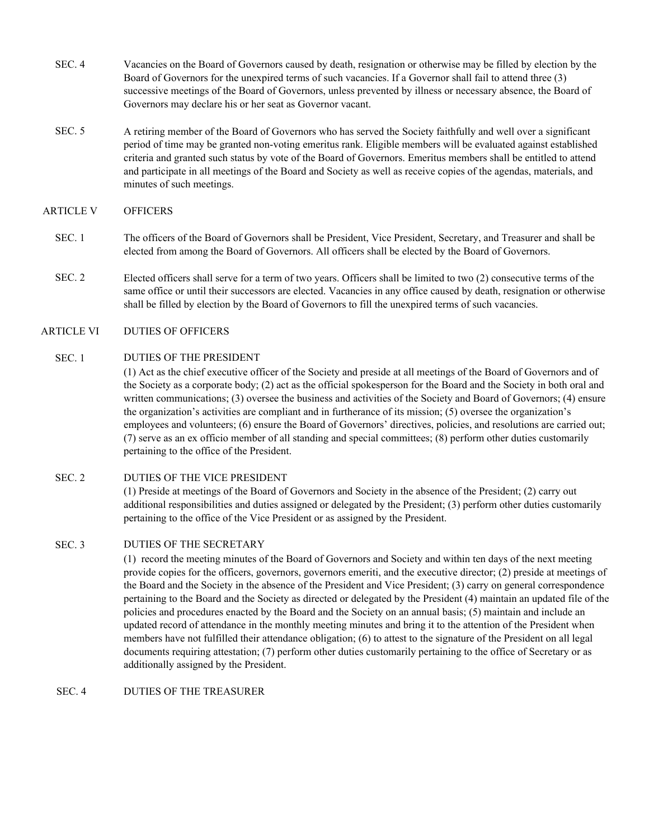- SEC. 4 Vacancies on the Board of Governors caused by death, resignation or otherwise may be filled by election by the Board of Governors for the unexpired terms of such vacancies. If a Governor shall fail to attend three (3) successive meetings of the Board of Governors, unless prevented by illness or necessary absence, the Board of Governors may declare his or her seat as Governor vacant.
- SEC. 5 A retiring member of the Board of Governors who has served the Society faithfully and well over a significant period of time may be granted non-voting emeritus rank. Eligible members will be evaluated against established criteria and granted such status by vote of the Board of Governors. Emeritus members shall be entitled to attend and participate in all meetings of the Board and Society as well as receive copies of the agendas, materials, and minutes of such meetings.

#### ARTICLE V OFFICERS

- SEC. 1 The officers of the Board of Governors shall be President, Vice President, Secretary, and Treasurer and shall be elected from among the Board of Governors. All officers shall be elected by the Board of Governors.
- SEC. 2 Elected officers shall serve for a term of two years. Officers shall be limited to two (2) consecutive terms of the same office or until their successors are elected. Vacancies in any office caused by death, resignation or otherwise shall be filled by election by the Board of Governors to fill the unexpired terms of such vacancies.

#### ARTICLE VI DUTIES OF OFFICERS

#### SEC. 1 DUTIES OF THE PRESIDENT

(1) Act as the chief executive officer of the Society and preside at all meetings of the Board of Governors and of the Society as a corporate body; (2) act as the official spokesperson for the Board and the Society in both oral and written communications; (3) oversee the business and activities of the Society and Board of Governors; (4) ensure the organization's activities are compliant and in furtherance of its mission; (5) oversee the organization's employees and volunteers; (6) ensure the Board of Governors' directives, policies, and resolutions are carried out; (7) serve as an ex officio member of all standing and special committees; (8) perform other duties customarily pertaining to the office of the President.

#### SEC. 2 DUTIES OF THE VICE PRESIDENT

(1) Preside at meetings of the Board of Governors and Society in the absence of the President; (2) carry out additional responsibilities and duties assigned or delegated by the President; (3) perform other duties customarily pertaining to the office of the Vice President or as assigned by the President.

#### SEC. 3 DUTIES OF THE SECRETARY

(1) record the meeting minutes of the Board of Governors and Society and within ten days of the next meeting provide copies for the officers, governors, governors emeriti, and the executive director; (2) preside at meetings of the Board and the Society in the absence of the President and Vice President; (3) carry on general correspondence pertaining to the Board and the Society as directed or delegated by the President (4) maintain an updated file of the policies and procedures enacted by the Board and the Society on an annual basis; (5) maintain and include an updated record of attendance in the monthly meeting minutes and bring it to the attention of the President when members have not fulfilled their attendance obligation; (6) to attest to the signature of the President on all legal documents requiring attestation; (7) perform other duties customarily pertaining to the office of Secretary or as additionally assigned by the President.

SEC. 4 DUTIES OF THE TREASURER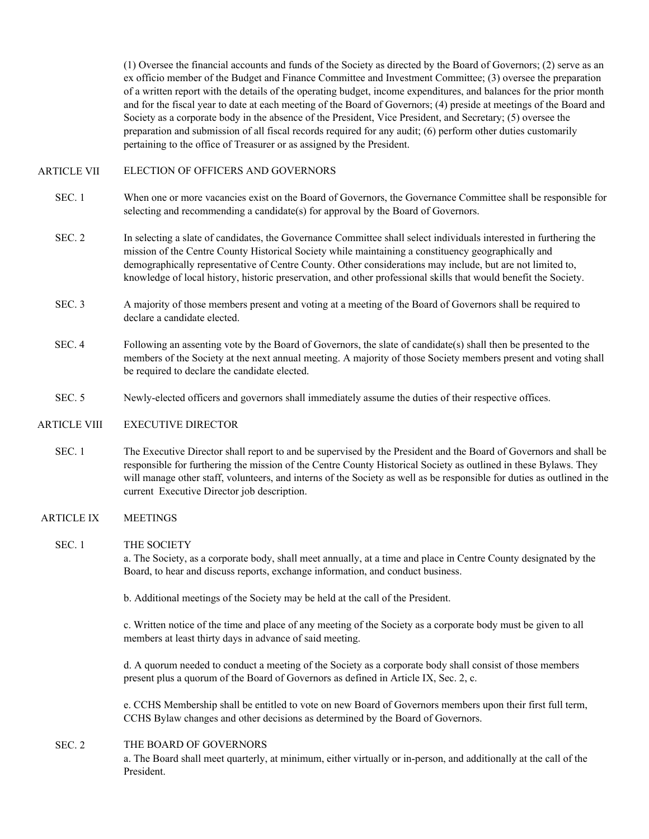(1) Oversee the financial accounts and funds of the Society as directed by the Board of Governors; (2) serve as an ex officio member of the Budget and Finance Committee and Investment Committee; (3) oversee the preparation of a written report with the details of the operating budget, income expenditures, and balances for the prior month and for the fiscal year to date at each meeting of the Board of Governors; (4) preside at meetings of the Board and Society as a corporate body in the absence of the President, Vice President, and Secretary; (5) oversee the preparation and submission of all fiscal records required for any audit; (6) perform other duties customarily pertaining to the office of Treasurer or as assigned by the President.

#### ARTICLE VII ELECTION OF OFFICERS AND GOVERNORS

- SEC. 1 When one or more vacancies exist on the Board of Governors, the Governance Committee shall be responsible for selecting and recommending a candidate(s) for approval by the Board of Governors.
- SEC. 2 In selecting a slate of candidates, the Governance Committee shall select individuals interested in furthering the mission of the Centre County Historical Society while maintaining a constituency geographically and demographically representative of Centre County. Other considerations may include, but are not limited to, knowledge of local history, historic preservation, and other professional skills that would benefit the Society.
- SEC. 3 A majority of those members present and voting at a meeting of the Board of Governors shall be required to declare a candidate elected.
- SEC. 4 Following an assenting vote by the Board of Governors, the slate of candidate(s) shall then be presented to the members of the Society at the next annual meeting. A majority of those Society members present and voting shall be required to declare the candidate elected.
- SEC. 5 Newly-elected officers and governors shall immediately assume the duties of their respective offices.

#### ARTICLE VIII EXECUTIVE DIRECTOR

SEC. 1 The Executive Director shall report to and be supervised by the President and the Board of Governors and shall be responsible for furthering the mission of the Centre County Historical Society as outlined in these Bylaws. They will manage other staff, volunteers, and interns of the Society as well as be responsible for duties as outlined in the current Executive Director job description.

#### ARTICLE IX MEETINGS

#### SEC. 1 THE SOCIETY

a. The Society, as a corporate body, shall meet annually, at a time and place in Centre County designated by the Board, to hear and discuss reports, exchange information, and conduct business.

b. Additional meetings of the Society may be held at the call of the President.

c. Written notice of the time and place of any meeting of the Society as a corporate body must be given to all members at least thirty days in advance of said meeting.

d. A quorum needed to conduct a meeting of the Society as a corporate body shall consist of those members present plus a quorum of the Board of Governors as defined in Article IX, Sec. 2, c.

e. CCHS Membership shall be entitled to vote on new Board of Governors members upon their first full term, CCHS Bylaw changes and other decisions as determined by the Board of Governors.

#### SEC. 2 THE BOARD OF GOVERNORS

a. The Board shall meet quarterly, at minimum, either virtually or in-person, and additionally at the call of the President.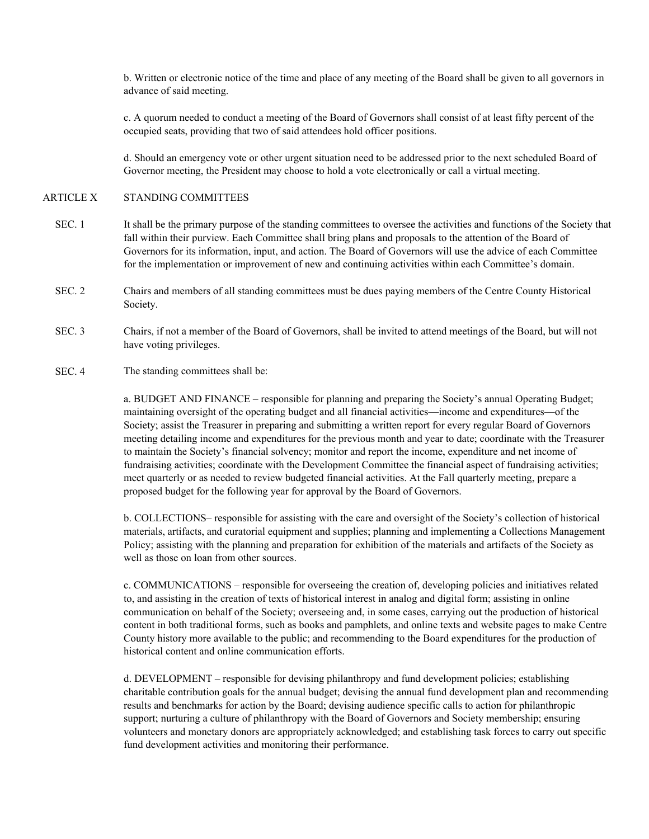b. Written or electronic notice of the time and place of any meeting of the Board shall be given to all governors in advance of said meeting.

c. A quorum needed to conduct a meeting of the Board of Governors shall consist of at least fifty percent of the occupied seats, providing that two of said attendees hold officer positions.

d. Should an emergency vote or other urgent situation need to be addressed prior to the next scheduled Board of Governor meeting, the President may choose to hold a vote electronically or call a virtual meeting.

#### ARTICLE X STANDING COMMITTEES

- SEC. 1 It shall be the primary purpose of the standing committees to oversee the activities and functions of the Society that fall within their purview. Each Committee shall bring plans and proposals to the attention of the Board of Governors for its information, input, and action. The Board of Governors will use the advice of each Committee for the implementation or improvement of new and continuing activities within each Committee's domain.
- SEC. 2 Chairs and members of all standing committees must be dues paying members of the Centre County Historical Society.
- SEC. 3 Chairs, if not a member of the Board of Governors, shall be invited to attend meetings of the Board, but will not have voting privileges.
- SEC. 4 The standing committees shall be:

a. BUDGET AND FINANCE – responsible for planning and preparing the Society's annual Operating Budget; maintaining oversight of the operating budget and all financial activities—income and expenditures—of the Society; assist the Treasurer in preparing and submitting a written report for every regular Board of Governors meeting detailing income and expenditures for the previous month and year to date; coordinate with the Treasurer to maintain the Society's financial solvency; monitor and report the income, expenditure and net income of fundraising activities; coordinate with the Development Committee the financial aspect of fundraising activities; meet quarterly or as needed to review budgeted financial activities. At the Fall quarterly meeting, prepare a proposed budget for the following year for approval by the Board of Governors.

b. COLLECTIONS– responsible for assisting with the care and oversight of the Society's collection of historical materials, artifacts, and curatorial equipment and supplies; planning and implementing a Collections Management Policy; assisting with the planning and preparation for exhibition of the materials and artifacts of the Society as well as those on loan from other sources.

c. COMMUNICATIONS – responsible for overseeing the creation of, developing policies and initiatives related to, and assisting in the creation of texts of historical interest in analog and digital form; assisting in online communication on behalf of the Society; overseeing and, in some cases, carrying out the production of historical content in both traditional forms, such as books and pamphlets, and online texts and website pages to make Centre County history more available to the public; and recommending to the Board expenditures for the production of historical content and online communication efforts.

d. DEVELOPMENT – responsible for devising philanthropy and fund development policies; establishing charitable contribution goals for the annual budget; devising the annual fund development plan and recommending results and benchmarks for action by the Board; devising audience specific calls to action for philanthropic support; nurturing a culture of philanthropy with the Board of Governors and Society membership; ensuring volunteers and monetary donors are appropriately acknowledged; and establishing task forces to carry out specific fund development activities and monitoring their performance.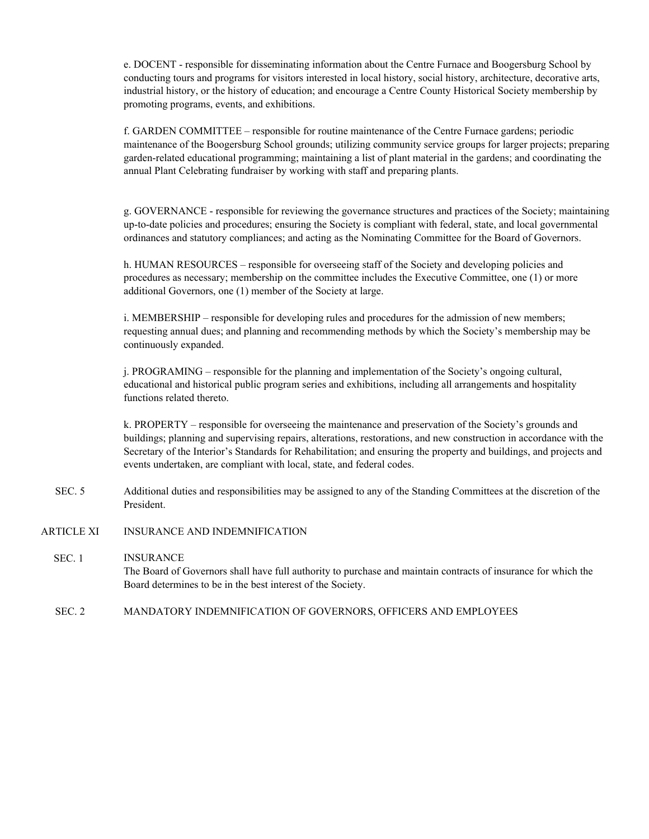e. DOCENT - responsible for disseminating information about the Centre Furnace and Boogersburg School by conducting tours and programs for visitors interested in local history, social history, architecture, decorative arts, industrial history, or the history of education; and encourage a Centre County Historical Society membership by promoting programs, events, and exhibitions.

f. GARDEN COMMITTEE – responsible for routine maintenance of the Centre Furnace gardens; periodic maintenance of the Boogersburg School grounds; utilizing community service groups for larger projects; preparing garden-related educational programming; maintaining a list of plant material in the gardens; and coordinating the annual Plant Celebrating fundraiser by working with staff and preparing plants.

g. GOVERNANCE - responsible for reviewing the governance structures and practices of the Society; maintaining up-to-date policies and procedures; ensuring the Society is compliant with federal, state, and local governmental ordinances and statutory compliances; and acting as the Nominating Committee for the Board of Governors.

h. HUMAN RESOURCES – responsible for overseeing staff of the Society and developing policies and procedures as necessary; membership on the committee includes the Executive Committee, one (1) or more additional Governors, one (1) member of the Society at large.

i. MEMBERSHIP – responsible for developing rules and procedures for the admission of new members; requesting annual dues; and planning and recommending methods by which the Society's membership may be continuously expanded.

j. PROGRAMING – responsible for the planning and implementation of the Society's ongoing cultural, educational and historical public program series and exhibitions, including all arrangements and hospitality functions related thereto.

k. PROPERTY – responsible for overseeing the maintenance and preservation of the Society's grounds and buildings; planning and supervising repairs, alterations, restorations, and new construction in accordance with the Secretary of the Interior's Standards for Rehabilitation; and ensuring the property and buildings, and projects and events undertaken, are compliant with local, state, and federal codes.

- SEC. 5 Additional duties and responsibilities may be assigned to any of the Standing Committees at the discretion of the President.
- ARTICLE XI INSURANCE AND INDEMNIFICATION

### SEC. 1 **INSURANCE** The Board of Governors shall have full authority to purchase and maintain contracts of insurance for which the Board determines to be in the best interest of the Society.

SEC. 2 MANDATORY INDEMNIFICATION OF GOVERNORS, OFFICERS AND EMPLOYEES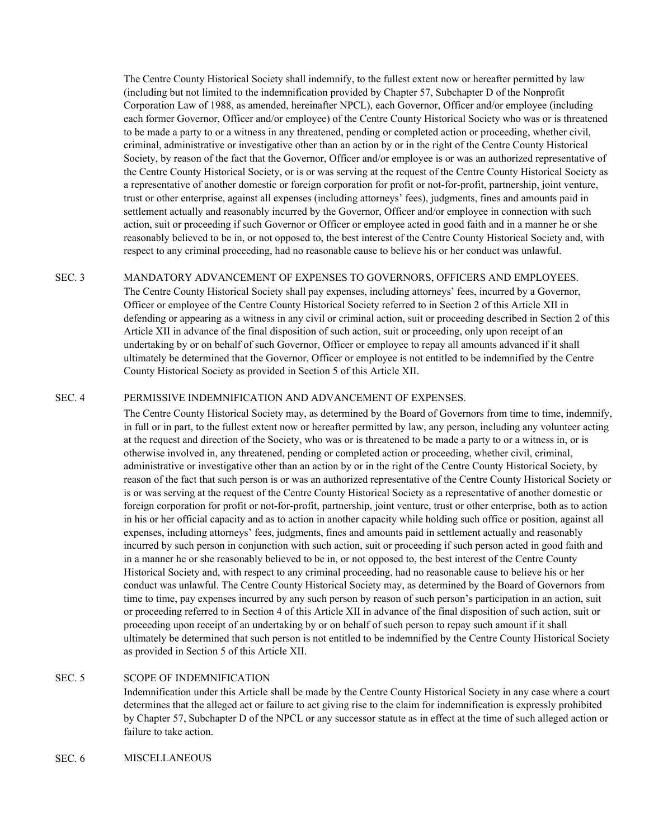The Centre County Historical Society shall indemnify, to the fullest extent now or hereafter permitted by law (including but not limited to the indemnification provided by Chapter 57, Subchapter D of the Nonprofit Corporation Law of 1988, as amended, hereinafter NPCL), each Governor, Officer and/or employee (including each former Governor, Officer and/or employee) of the Centre County Historical Society who was or is threatened to be made a party to or a witness in any threatened, pending or completed action or proceeding, whether civil, criminal, administrative or investigative other than an action by or in the right of the Centre County Historical Society, by reason of the fact that the Governor, Officer and/or employee is or was an authorized representative of the Centre County Historical Society, or is or was serving at the request of the Centre County Historical Society as a representative of another domestic or foreign corporation for profit or not-for-profit, partnership, joint venture, trust or other enterprise, against all expenses (including attorneys' fees), judgments, fines and amounts paid in settlement actually and reasonably incurred by the Governor, Officer and/or employee in connection with such action, suit or proceeding if such Governor or Officer or employee acted in good faith and in a manner he or she reasonably believed to be in, or not opposed to, the best interest of the Centre County Historical Society and, with respect to any criminal proceeding, had no reasonable cause to believe his or her conduct was unlawful.

#### SEC. 3 MANDATORY ADVANCEMENT OF EXPENSES TO GOVERNORS, OFFICERS AND EMPLOYEES.

The Centre County Historical Society shall pay expenses, including attorneys' fees, incurred by a Governor, Officer or employee of the Centre County Historical Society referred to in Section 2 of this Article XII in defending or appearing as a witness in any civil or criminal action, suit or proceeding described in Section 2 of this Article XII in advance of the final disposition of such action, suit or proceeding, only upon receipt of an undertaking by or on behalf of such Governor, Officer or employee to repay all amounts advanced if it shall ultimately be determined that the Governor, Officer or employee is not entitled to be indemnified by the Centre County Historical Society as provided in Section 5 of this Article XII.

#### SEC. 4 PERMISSIVE INDEMNIFICATION AND ADVANCEMENT OF EXPENSES.

The Centre County Historical Society may, as determined by the Board of Governors from time to time, indemnify, in full or in part, to the fullest extent now or hereafter permitted by law, any person, including any volunteer acting at the request and direction of the Society, who was or is threatened to be made a party to or a witness in, or is otherwise involved in, any threatened, pending or completed action or proceeding, whether civil, criminal, administrative or investigative other than an action by or in the right of the Centre County Historical Society, by reason of the fact that such person is or was an authorized representative of the Centre County Historical Society or is or was serving at the request of the Centre County Historical Society as a representative of another domestic or foreign corporation for profit or not-for-profit, partnership, joint venture, trust or other enterprise, both as to action in his or her official capacity and as to action in another capacity while holding such office or position, against all expenses, including attorneys' fees, judgments, fines and amounts paid in settlement actually and reasonably incurred by such person in conjunction with such action, suit or proceeding if such person acted in good faith and in a manner he or she reasonably believed to be in, or not opposed to, the best interest of the Centre County Historical Society and, with respect to any criminal proceeding, had no reasonable cause to believe his or her conduct was unlawful. The Centre County Historical Society may, as determined by the Board of Governors from time to time, pay expenses incurred by any such person by reason of such person's participation in an action, suit or proceeding referred to in Section 4 of this Article XII in advance of the final disposition of such action, suit or proceeding upon receipt of an undertaking by or on behalf of such person to repay such amount if it shall ultimately be determined that such person is not entitled to be indemnified by the Centre County Historical Society as provided in Section 5 of this Article XII.

#### SEC. 5 SCOPE OF INDEMNIFICATION

Indemnification under this Article shall be made by the Centre County Historical Society in any case where a court determines that the alleged act or failure to act giving rise to the claim for indemnification is expressly prohibited by Chapter 57, Subchapter D of the NPCL or any successor statute as in effect at the time of such alleged action or failure to take action.

#### SEC. 6 MISCELLANEOUS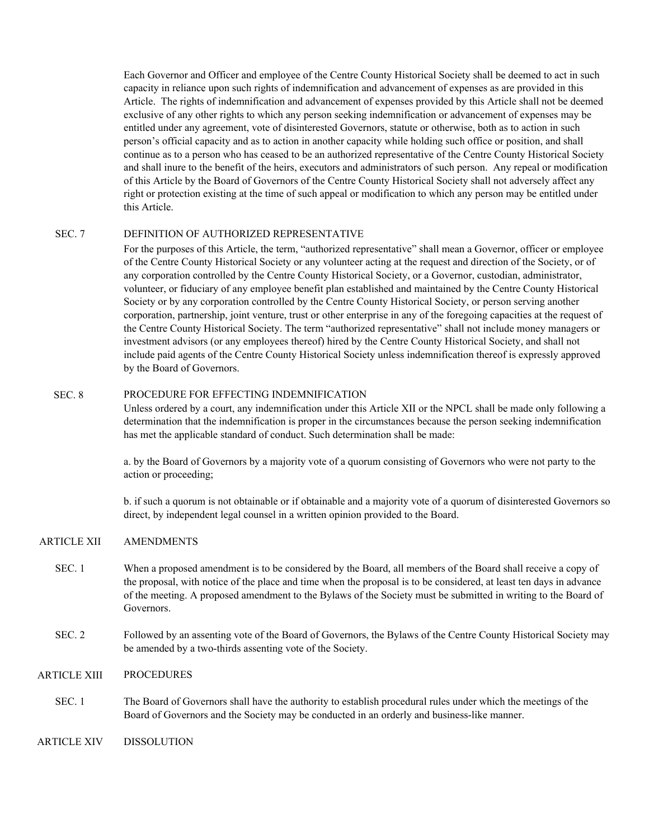Each Governor and Officer and employee of the Centre County Historical Society shall be deemed to act in such capacity in reliance upon such rights of indemnification and advancement of expenses as are provided in this Article. The rights of indemnification and advancement of expenses provided by this Article shall not be deemed exclusive of any other rights to which any person seeking indemnification or advancement of expenses may be entitled under any agreement, vote of disinterested Governors, statute or otherwise, both as to action in such person's official capacity and as to action in another capacity while holding such office or position, and shall continue as to a person who has ceased to be an authorized representative of the Centre County Historical Society and shall inure to the benefit of the heirs, executors and administrators of such person. Any repeal or modification of this Article by the Board of Governors of the Centre County Historical Society shall not adversely affect any right or protection existing at the time of such appeal or modification to which any person may be entitled under this Article.

#### SEC. 7 DEFINITION OF AUTHORIZED REPRESENTATIVE

For the purposes of this Article, the term, "authorized representative" shall mean a Governor, officer or employee of the Centre County Historical Society or any volunteer acting at the request and direction of the Society, or of any corporation controlled by the Centre County Historical Society, or a Governor, custodian, administrator, volunteer, or fiduciary of any employee benefit plan established and maintained by the Centre County Historical Society or by any corporation controlled by the Centre County Historical Society, or person serving another corporation, partnership, joint venture, trust or other enterprise in any of the foregoing capacities at the request of the Centre County Historical Society. The term "authorized representative" shall not include money managers or investment advisors (or any employees thereof) hired by the Centre County Historical Society, and shall not include paid agents of the Centre County Historical Society unless indemnification thereof is expressly approved by the Board of Governors.

#### SEC. 8 PROCEDURE FOR EFFECTING INDEMNIFICATION

Unless ordered by a court, any indemnification under this Article XII or the NPCL shall be made only following a determination that the indemnification is proper in the circumstances because the person seeking indemnification has met the applicable standard of conduct. Such determination shall be made:

a. by the Board of Governors by a majority vote of a quorum consisting of Governors who were not party to the action or proceeding;

b. if such a quorum is not obtainable or if obtainable and a majority vote of a quorum of disinterested Governors so direct, by independent legal counsel in a written opinion provided to the Board.

#### ARTICLE XII AMENDMENTS

- SEC. 1 When a proposed amendment is to be considered by the Board, all members of the Board shall receive a copy of the proposal, with notice of the place and time when the proposal is to be considered, at least ten days in advance of the meeting. A proposed amendment to the Bylaws of the Society must be submitted in writing to the Board of Governors.
- SEC. 2 Followed by an assenting vote of the Board of Governors, the Bylaws of the Centre County Historical Society may be amended by a two-thirds assenting vote of the Society.

#### ARTICLE XIII PROCEDURES

- SEC. 1 The Board of Governors shall have the authority to establish procedural rules under which the meetings of the Board of Governors and the Society may be conducted in an orderly and business-like manner.
- ARTICLE XIV DISSOLUTION